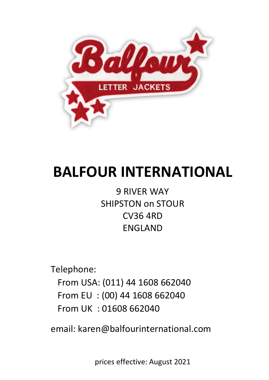

# **BALFOUR INTERNATIONAL**

9 RIVER WAY SHIPSTON on STOUR CV36 4RD ENGLAND

Telephone:

 From USA: (011) 44 1608 662040 From EU : (00) 44 1608 662040 From UK : 01608 662040

email: karen@balfourinternational.com

prices effective: August 2021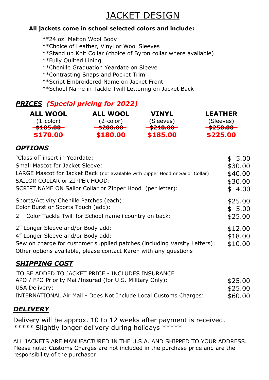# JACKET DESIGN

#### **All jackets come in school selected colors and include:**

\*\*24 oz. Melton Wool Body \*\*Choice of Leather, Vinyl or Wool Sleeves \*\*Stand up Knit Collar (choice of Byron collar where available) \*\*Fully Quilted Lining \*\*Chenille Graduation Yeardate on Sleeve \*\*Contrasting Snaps and Pocket Trim \*\*Script Embroidered Name on Jacket Front \*\*School Name in Tackle Twill Lettering on Jacket Back

# *PRICES (Special pricing for 2022)*

| <b>ALL WOOL</b>     | <b>ALL WOOL</b>     | <b>VINYL</b>        | <b>LEATHER</b>      |
|---------------------|---------------------|---------------------|---------------------|
| $(1$ -color)        | $(2$ -color)        | (Sleeves)           | (Sleeves)           |
| <del>\$185.00</del> | <del>\$200.00</del> | <del>\$210.00</del> | <del>\$250.00</del> |
| \$170.00            | \$180.00            | \$185.00            | \$225.00            |

#### *OPTIONS*

| 'Class of' insert in Yeardate:                                                                                                                                                                                         | \$5.00                        |
|------------------------------------------------------------------------------------------------------------------------------------------------------------------------------------------------------------------------|-------------------------------|
| <b>Small Mascot for Jacket Sleeve:</b>                                                                                                                                                                                 | \$30.00                       |
| LARGE Mascot for Jacket Back (not available with Zipper Hood or Sailor Collar):                                                                                                                                        | \$40.00                       |
| SAILOR COLLAR or ZIPPER HOOD:                                                                                                                                                                                          | \$30.00                       |
| SCRIPT NAME ON Sailor Collar or Zipper Hood (per letter):                                                                                                                                                              | \$4.00                        |
| Sports/Activity Chenille Patches (each):<br>Color Burst or Sports Touch (add):<br>2 - Color Tackle Twill for School name+country on back:                                                                              | \$25.00<br>\$5.00<br>\$25.00  |
| 2" Longer Sleeve and/or Body add:<br>4" Longer Sleeve and/or Body add:<br>Sew on charge for customer supplied patches (including Varsity Letters):<br>Other options available, please contact Karen with any questions | \$12.00<br>\$18.00<br>\$10.00 |
|                                                                                                                                                                                                                        |                               |

# *SHIPPING COST*

| TO BE ADDED TO JACKET PRICE - INCLUDES INSURANCE                 |         |
|------------------------------------------------------------------|---------|
| APO / FPO Priority Mail/Insured (for U.S. Military Only):        | \$25.00 |
| USA Delivery:                                                    | \$25.00 |
| INTERNATIONAL Air Mail - Does Not Include Local Customs Charges: | \$60.00 |
|                                                                  |         |

# *DELIVERY*

Delivery will be approx. 10 to 12 weeks after payment is received. \*\*\*\*\* Slightly longer delivery during holidays \*\*\*\*\*

ALL JACKETS ARE MANUFACTURED IN THE U.S.A. AND SHIPPED TO YOUR ADDRESS. Please note: Customs Charges are not included in the purchase price and are the responsibility of the purchaser.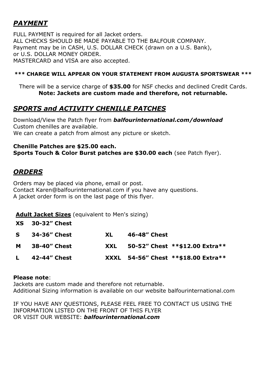# *PAYMENT*

FULL PAYMENT is required for all Jacket orders. ALL CHECKS SHOULD BE MADE PAYABLE TO THE BALFOUR COMPANY. Payment may be in CASH, U.S. DOLLAR CHECK (drawn on a U.S. Bank), or U.S. DOLLAR MONEY ORDER. MASTERCARD and VISA are also accepted.

#### **\*\*\* CHARGE WILL APPEAR ON YOUR STATEMENT FROM AUGUSTA SPORTSWEAR \*\*\***

There will be a service charge of **\$35.00** for NSF checks and declined Credit Cards. **Note: Jackets are custom made and therefore, not returnable.**

#### *SPORTS and ACTIVITY CHENILLE PATCHES*

Download/View the Patch flyer from *balfourinternational.com/download* Custom chenilles are available. We can create a patch from almost any picture or sketch.

#### **Chenille Patches are \$25.00 each. Sports Touch & Color Burst patches are \$30.00 each** (see Patch flyer).

#### *ORDERS*

Orders may be placed via phone, email or post. Contact Karen@balfourinternational.com if you have any questions. A jacket order form is on the last page of this flyer.

#### **Adult Jacket Sizes** (equivalent to Men's sizing)

| <b>XS</b> 30-32" Chest |     |              |                                     |
|------------------------|-----|--------------|-------------------------------------|
| S 34-36" Chest         | XL. | 46-48" Chest |                                     |
| <b>M</b> 38-40" Chest  |     |              | XXL 50-52" Chest **\$12.00 Extra**  |
| $L = 42 - 44$ " Chest  |     |              | XXXL 54-56" Chest **\$18.00 Extra** |
|                        |     |              |                                     |

#### **Please note**:

Jackets are custom made and therefore not returnable. Additional Sizing information is available on our website balfourinternational.com

IF YOU HAVE ANY QUESTIONS, PLEASE FEEL FREE TO CONTACT US USING THE INFORMATION LISTED ON THE FRONT OF THIS FLYER OR VISIT OUR WEBSITE: *balfourinternational.com*